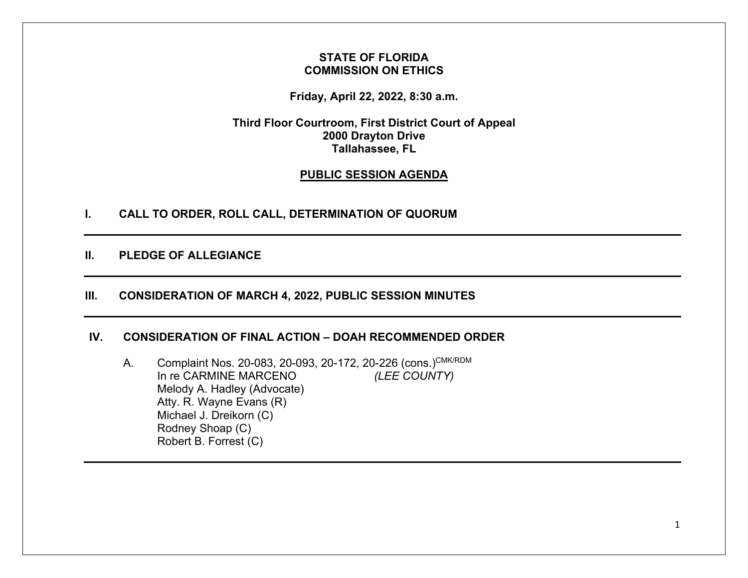## **STATE OF FLORIDA COMMISSION ON ETHICS**

**Friday, April 22, 2022, 8:30 a.m.** 

**Third Floor Courtroom, First District Court of Appeal 2000 Drayton Drive Tallahassee, FL** 

# **PUBLIC SESSION AGENDA**

**I. CALL TO ORDER, ROLL CALL, DETERMINATION OF QUORUM** 

# **II. PLEDGE OF ALLEGIANCE**

## **III. CONSIDERATION OF MARCH 4, 2022, PUBLIC SESSION MINUTES**

#### **IV. CONSIDERATION OF FINAL ACTION – DOAH RECOMMENDED ORDER**

A. Complaint Nos. 20-083, 20-093, 20-172, 20-226 (cons.)CMK/RDM In re CARMINE MARCENO *(LEE COUNTY)* Melody A. Hadley (Advocate) Atty. R. Wayne Evans (R) Michael J. Dreikorn (C) Rodney Shoap (C) Robert B. Forrest (C)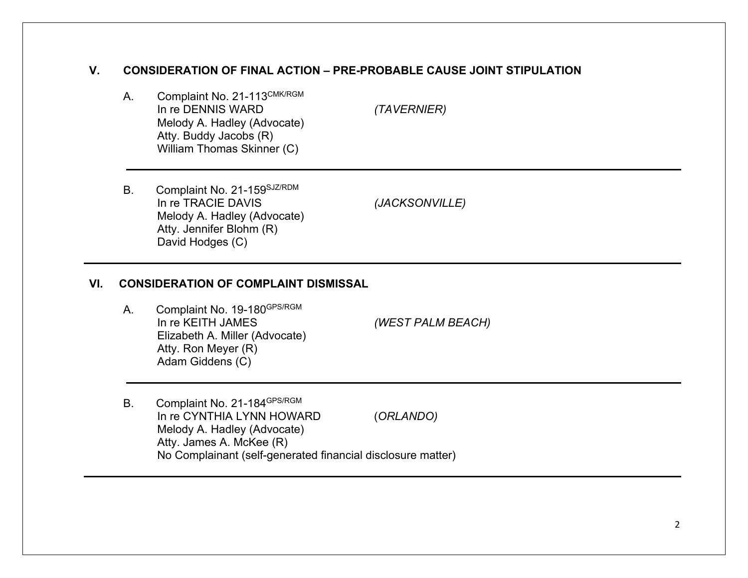# **V. CONSIDERATION OF FINAL ACTION – PRE-PROBABLE CAUSE JOINT STIPULATION**

A. Complaint No. 21-113CMK/RGM In re DENNIS WARD *(TAVERNIER)* Melody A. Hadley (Advocate) Atty. Buddy Jacobs (R) William Thomas Skinner (C)

B. Complaint No. 21-159SJZ/RDM In re TRACIE DAVIS *(JACKSONVILLE)* Melody A. Hadley (Advocate) Atty. Jennifer Blohm (R) David Hodges (C)

#### **VI. CONSIDERATION OF COMPLAINT DISMISSAL**

A. Complaint No. 19-180GPS/RGM In re KEITH JAMES *(WEST PALM BEACH)* Elizabeth A. Miller (Advocate) Atty. Ron Meyer (R) Adam Giddens (C)

B. Complaint No. 21-184GPS/RGM In re CYNTHIA LYNN HOWARD (*ORLANDO)* Melody A. Hadley (Advocate) Atty. James A. McKee (R) No Complainant (self-generated financial disclosure matter)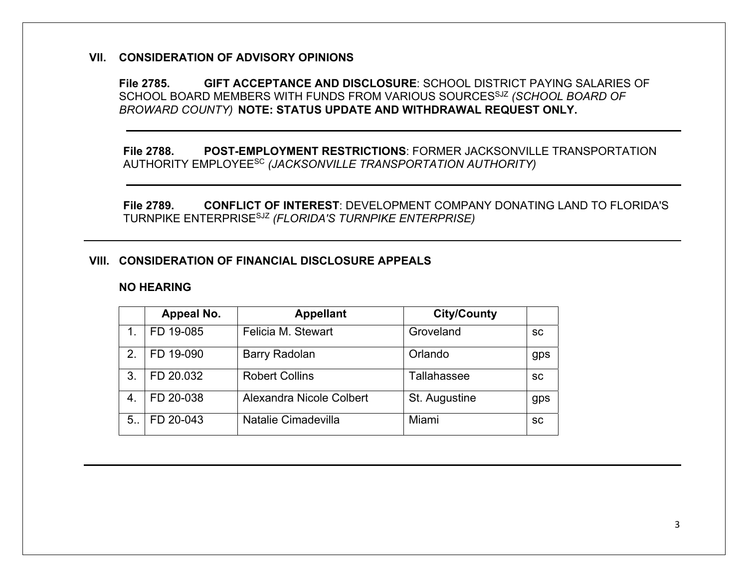#### **VII. CONSIDERATION OF ADVISORY OPINIONS**

**File 2785. GIFT ACCEPTANCE AND DISCLOSURE**: SCHOOL DISTRICT PAYING SALARIES OF SCHOOL BOARD MEMBERS WITH FUNDS FROM VARIOUS SOURCESSJZ *(SCHOOL BOARD OF BROWARD COUNTY)* **NOTE: STATUS UPDATE AND WITHDRAWAL REQUEST ONLY.** 

**File 2788. POST-EMPLOYMENT RESTRICTIONS**: FORMER JACKSONVILLE TRANSPORTATION AUTHORITY EMPLOYEESC *(JACKSONVILLE TRANSPORTATION AUTHORITY)* 

**File 2789. CONFLICT OF INTEREST**: DEVELOPMENT COMPANY DONATING LAND TO FLORIDA'S TURNPIKE ENTERPRISESJZ *(FLORIDA'S TURNPIKE ENTERPRISE)* 

#### **VIII. CONSIDERATION OF FINANCIAL DISCLOSURE APPEALS**

#### **NO HEARING**

|                  | Appeal No. | <b>Appellant</b>         | <b>City/County</b> |           |
|------------------|------------|--------------------------|--------------------|-----------|
|                  | FD 19-085  | Felicia M. Stewart       | Groveland          | <b>SC</b> |
| 2.               | FD 19-090  | <b>Barry Radolan</b>     | Orlando            | gps       |
| 3.               | FD 20.032  | <b>Robert Collins</b>    | Tallahassee        | <b>SC</b> |
| $\overline{4}$ . | FD 20-038  | Alexandra Nicole Colbert | St. Augustine      | gps       |
| 5.               | FD 20-043  | Natalie Cimadevilla      | Miami              | SC        |